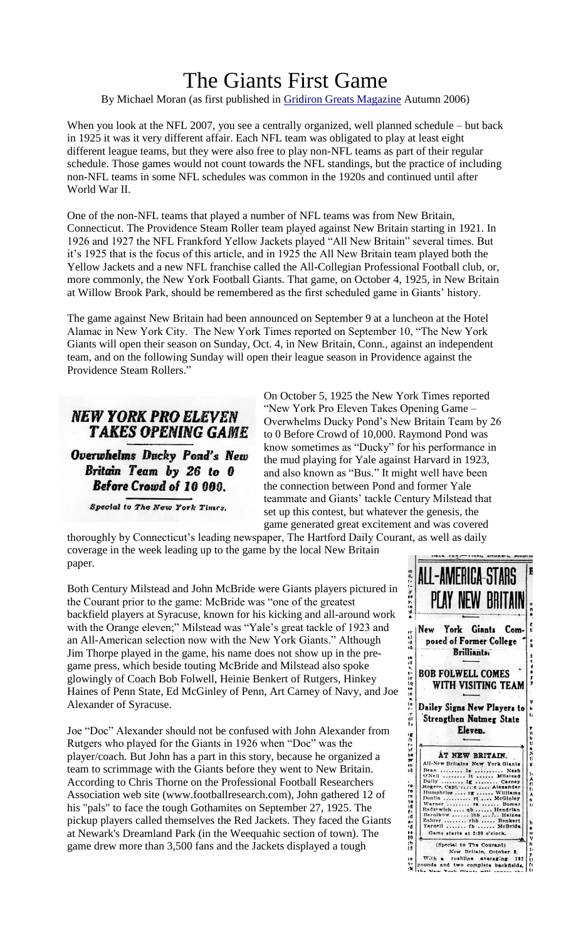## The Giants First Game

By Michael Moran (as first published in [Gridiron Greats Magazine](http://http/www.gridirongreats.net/) Autumn 2006)

When you look at the NFL 2007, you see a centrally organized, well planned schedule – but back in 1925 it was it very different affair. Each NFL team was obligated to play at least eight different league teams, but they were also free to play non-NFL teams as part of their regular schedule. Those games would not count towards the NFL standings, but the practice of including non-NFL teams in some NFL schedules was common in the 1920s and continued until after World War II.

One of the non-NFL teams that played a number of NFL teams was from New Britain, Connecticut. The Providence Steam Roller team played against New Britain starting in 1921. In 1926 and 1927 the NFL Frankford Yellow Jackets played "All New Britain" several times. But it's 1925 that is the focus of this article, and in 1925 the All New Britain team played both the Yellow Jackets and a new NFL franchise called the All-Collegian Professional Football club, or, more commonly, the New York Football Giants. That game, on October 4, 1925, in New Britain at Willow Brook Park, should be remembered as the first scheduled game in Giants' history.

The game against New Britain had been announced on September 9 at a luncheon at the Hotel Alamac in New York City. The New York Times reported on September 10, "The New York Giants will open their season on Sunday, Oct. 4, in New Britain, Conn., against an independent team, and on the following Sunday will open their league season in Providence against the Providence Steam Rollers."

## **NEW YORK PRO ELEVEN TAKES OPENING GAME**

**Overwhelms Ducky Pond's New** Britain Team by 26 to 0 Before Crowd of 10 000.

Special to The New York Times.

On October 5, 1925 the New York Times reported "New York Pro Eleven Takes Opening Game – Overwhelms Ducky Pond's New Britain Team by 26 to 0 Before Crowd of 10,000. Raymond Pond was know sometimes as "Ducky" for his performance in the mud playing for Yale against Harvard in 1923, and also known as "Bus." It might well have been the connection between Pond and former Yale teammate and Giants' tackle Century Milstead that set up this contest, but whatever the genesis, the game generated great excitement and was covered

thoroughly by Connecticut's leading newspaper, The Hartford Daily Courant, as well as daily coverage in the week leading up to the game by the local New Britain paper.

Both Century Milstead and John McBride were Giants players pictured in the Courant prior to the game: McBride was "one of the greatest backfield players at Syracuse, known for his kicking and all-around work with the Orange eleven;" Milstead was "Yale's great tackle of 1923 and an All-American selection now with the New York Giants." Although Jim Thorpe played in the game, his name does not show up in the pregame press, which beside touting McBride and Milstead also spoke glowingly of Coach Bob Folwell, Heinie Benkert of Rutgers, Hinkey Haines of Penn State, Ed McGinley of Penn, Art Carney of Navy, and Joe Alexander of Syracuse.

Joe "Doc" Alexander should not be confused with John Alexander from Rutgers who played for the Giants in 1926 when "Doc" was the player/coach. But John has a part in this story, because he organized a team to scrimmage with the Giants before they went to New Britain. According to Chris Thorne on the Professional Football Researchers Association web site (www.footballresearch.com), John gathered 12 of his "pals" to face the tough Gothamites on September 27, 1925. The pickup players called themselves the Red Jackets. They faced the Giants at Newark's Dreamland Park (in the Weequahic section of town). The game drew more than 3,500 fans and the Jackets displayed a tough

| ALL-AMERICA-STARS                                      | PLAY NEW BRITAIN                                                                                                                                                                                                                                                               |                                                                                 |                                                                                   |
|--------------------------------------------------------|--------------------------------------------------------------------------------------------------------------------------------------------------------------------------------------------------------------------------------------------------------------------------------|---------------------------------------------------------------------------------|-----------------------------------------------------------------------------------|
| New                                                    | York Giants<br>posed of Former College<br><b>Brilliants</b>                                                                                                                                                                                                                    |                                                                                 | Com-                                                                              |
| <b>BOB FOLWELL COMES</b>                               | WITH VISITING TEAM                                                                                                                                                                                                                                                             |                                                                                 |                                                                                   |
| Dailey Signs New Players to                            | <b>Strengthen Nutmeg State</b><br>Eleven.                                                                                                                                                                                                                                      |                                                                                 |                                                                                   |
| Bean<br>O'Neil<br>Dully<br>Warner<br>Zahrer<br>Yarnell | AT NEW BRITAIN.<br>All-New Britains New York Glants<br>.<br>l e<br>1t<br>.<br><br>1ĸ<br>Rogers, Capt.  c  Alexander<br>Humphries  rg<br>Donlin<br>rt<br>.<br>r <sub>e</sub><br>Radzewich  qb<br>Barnikow  lhb<br>rhb<br><b>f</b> b<br>$\cdots$<br>Game starts at 2:30 o'clock. | .<br>.<br>Carney<br>Williams<br>$\cdots$<br>.<br>.<br>$\ddot{\phantom{a}}$<br>. | Nash<br>Milstead<br>McGinley<br>Bomar<br>Hendrian<br>Haines<br>Benkert<br>McBride |
| $W$ ith                                                | (Special to The Courant)<br>New<br>rushiine                                                                                                                                                                                                                                    | Britain, October<br>averaging                                                   | ۰Ó<br>192<br>two complete backfields.                                             |